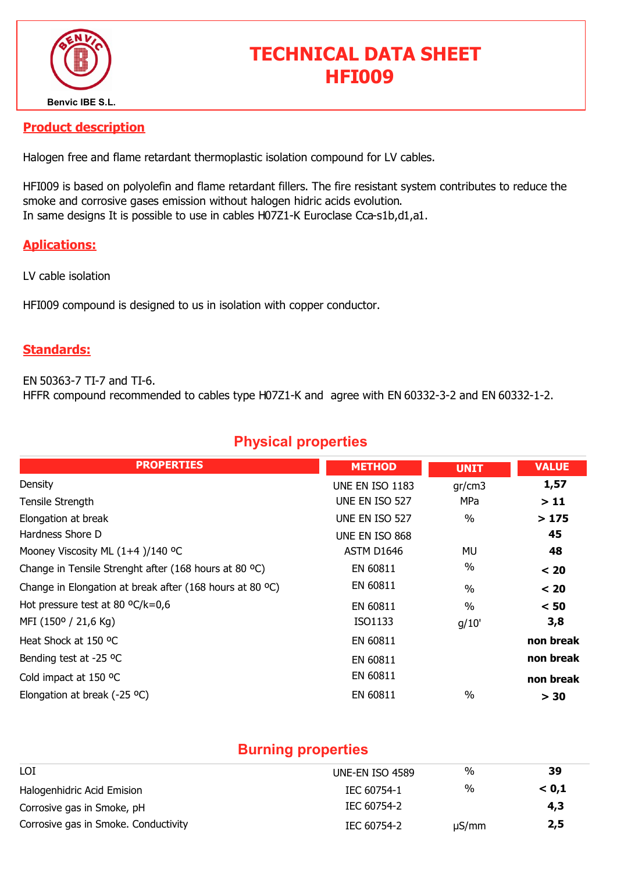

# TECHNICAL DATA SHEET HFI009

#### Product description

Halogen free and flame retardant thermoplastic isolation compound for LV cables.

HFI009 is based on polyolefin and flame retardant fillers. The fire resistant system contributes to reduce the smoke and corrosive gases emission without halogen hidric acids evolution. In same designs It is possible to use in cables H07Z1-K Euroclase Cca-s1b,d1,a1.

### Aplications:

LV cable isolation

HFI009 compound is designed to us in isolation with copper conductor.

#### Standards:

EN 50363-7 TI-7 and TI-6. HFFR compound recommended to cables type H07Z1-K and agree with EN 60332-3-2 and EN 60332-1-2.

# Physical properties

| <b>PROPERTIES</b>                                        | <b>METHOD</b>   | <b>UNIT</b> | <b>VALUE</b> |
|----------------------------------------------------------|-----------------|-------------|--------------|
| Density                                                  | UNE EN ISO 1183 | gr/cm3      | 1,57         |
| Tensile Strength                                         | UNE EN ISO 527  | MPa         | >11          |
| Elongation at break                                      | UNE EN ISO 527  | $\%$        | >175         |
| Hardness Shore D                                         | UNE EN ISO 868  |             | 45           |
| Mooney Viscosity ML (1+4)/140 °C                         | ASTM D1646      | MU          | 48           |
| Change in Tensile Strenght after (168 hours at 80 °C)    | EN 60811        | $\%$        | < 20         |
| Change in Elongation at break after (168 hours at 80 °C) | EN 60811        | $\%$        | < 20         |
| Hot pressure test at 80 $^{\circ}$ C/k=0,6               | EN 60811        | $\%$        | < 50         |
| MFI (150° / 21,6 Kg)                                     | ISO1133         | q/10'       | 3,8          |
| Heat Shock at 150 °C                                     | EN 60811        |             | non break    |
| Bending test at -25 °C                                   | EN 60811        |             | non break    |
| Cold impact at 150 °C                                    | EN 60811        |             | non break    |
| Elongation at break (-25 °C)                             | EN 60811        | $\%$        | > 30         |

### Burning properties

| LOI                                  | UNE-EN ISO 4589 | %          | -39   |
|--------------------------------------|-----------------|------------|-------|
| Halogenhidric Acid Emision           | IEC 60754-1     | %          | < 0.1 |
| Corrosive gas in Smoke, pH           | IEC 60754-2     |            | 4,3   |
| Corrosive gas in Smoke. Conductivity | IEC 60754-2     | $\mu S/mm$ | 2,5   |